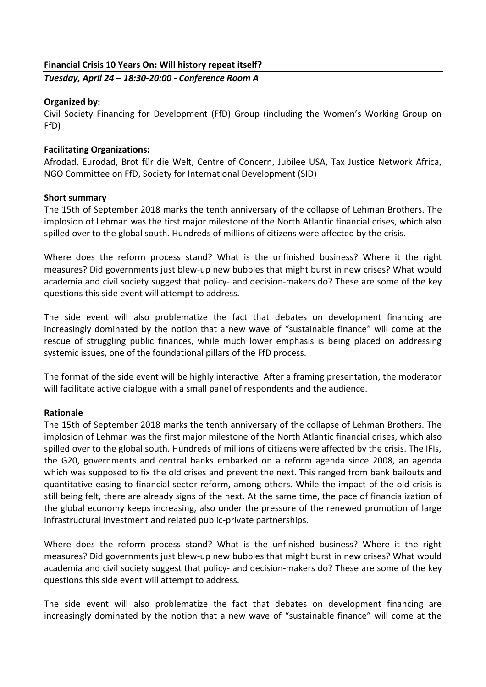## **Financial Crisis 10 Years On: Will history repeat itself?**

*Tuesday, April 24 – 18:30-20:00 - Conference Room A*

## **Organized by:**

Civil Society Financing for Development (FfD) Group (including the Women's Working Group on FfD)

# **Facilitating Organizations:**

Afrodad, Eurodad, Brot für die Welt, Centre of Concern, Jubilee USA, Tax Justice Network Africa, NGO Committee on FfD, Society for International Development (SID)

### **Short summary**

The 15th of September 2018 marks the tenth anniversary of the collapse of Lehman Brothers. The implosion of Lehman was the first major milestone of the North Atlantic financial crises, which also spilled over to the global south. Hundreds of millions of citizens were affected by the crisis.

Where does the reform process stand? What is the unfinished business? Where it the right measures? Did governments just blew-up new bubbles that might burst in new crises? What would academia and civil society suggest that policy- and decision-makers do? These are some of the key questions this side event will attempt to address.

The side event will also problematize the fact that debates on development financing are increasingly dominated by the notion that a new wave of "sustainable finance" will come at the rescue of struggling public finances, while much lower emphasis is being placed on addressing systemic issues, one of the foundational pillars of the FfD process.

The format of the side event will be highly interactive. After a framing presentation, the moderator will facilitate active dialogue with a small panel of respondents and the audience.

### **Rationale**

The 15th of September 2018 marks the tenth anniversary of the collapse of Lehman Brothers. The implosion of Lehman was the first major milestone of the North Atlantic financial crises, which also spilled over to the global south. Hundreds of millions of citizens were affected by the crisis. The IFIs, the G20, governments and central banks embarked on a reform agenda since 2008, an agenda which was supposed to fix the old crises and prevent the next. This ranged from bank bailouts and quantitative easing to financial sector reform, among others. While the impact of the old crisis is still being felt, there are already signs of the next. At the same time, the pace of financialization of the global economy keeps increasing, also under the pressure of the renewed promotion of large infrastructural investment and related public-private partnerships.

Where does the reform process stand? What is the unfinished business? Where it the right measures? Did governments just blew-up new bubbles that might burst in new crises? What would academia and civil society suggest that policy- and decision-makers do? These are some of the key questions this side event will attempt to address.

The side event will also problematize the fact that debates on development financing are increasingly dominated by the notion that a new wave of "sustainable finance" will come at the